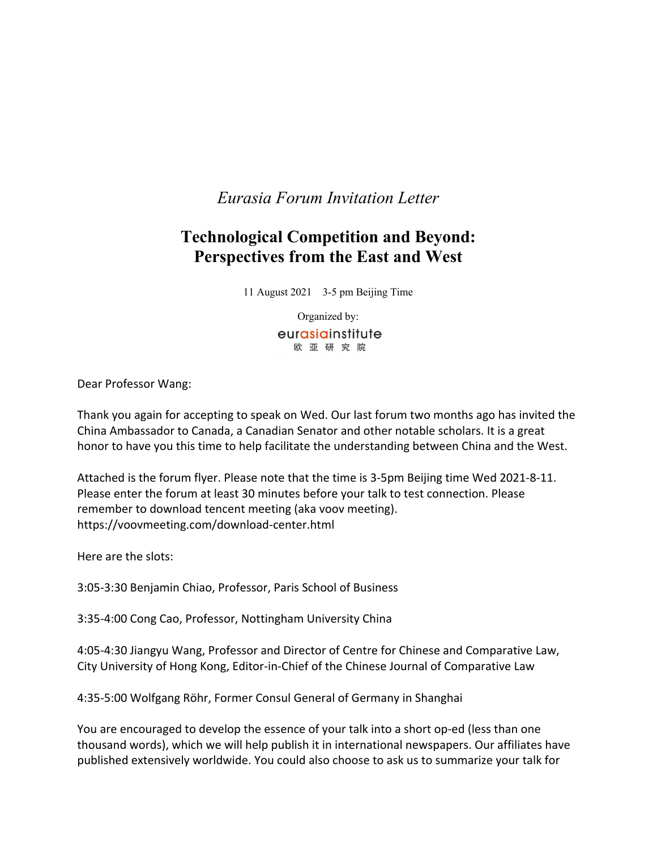*Eurasia Forum Invitation Letter*

## **Technological Competition and Beyond: Perspectives from the East and West**

11 August 2021 3-5 pm Beijing Time

Organized by: eurasiainstitute 欧亚研究院

Dear Professor Wang:

Thank you again for accepting to speak on Wed. Our last forum two months ago has invited the China Ambassador to Canada, a Canadian Senator and other notable scholars. It is a great honor to have you this time to help facilitate the understanding between China and the West.

Attached is the forum flyer. Please note that the time is 3-5pm Beijing time Wed 2021-8-11. Please enter the forum at least 30 minutes before your talk to test connection. Please remember to download tencent meeting (aka voov meeting). https://voovmeeting.com/download-center.html

Here are the slots:

3:05-3:30 Benjamin Chiao, Professor, Paris School of Business

3:35-4:00 Cong Cao, Professor, Nottingham University China

4:05-4:30 Jiangyu Wang, Professor and Director of Centre for Chinese and Comparative Law, City University of Hong Kong, Editor-in-Chief of the Chinese Journal of Comparative Law

4:35-5:00 Wolfgang Röhr, Former Consul General of Germany in Shanghai

You are encouraged to develop the essence of your talk into a short op-ed (less than one thousand words), which we will help publish it in international newspapers. Our affiliates have published extensively worldwide. You could also choose to ask us to summarize your talk for